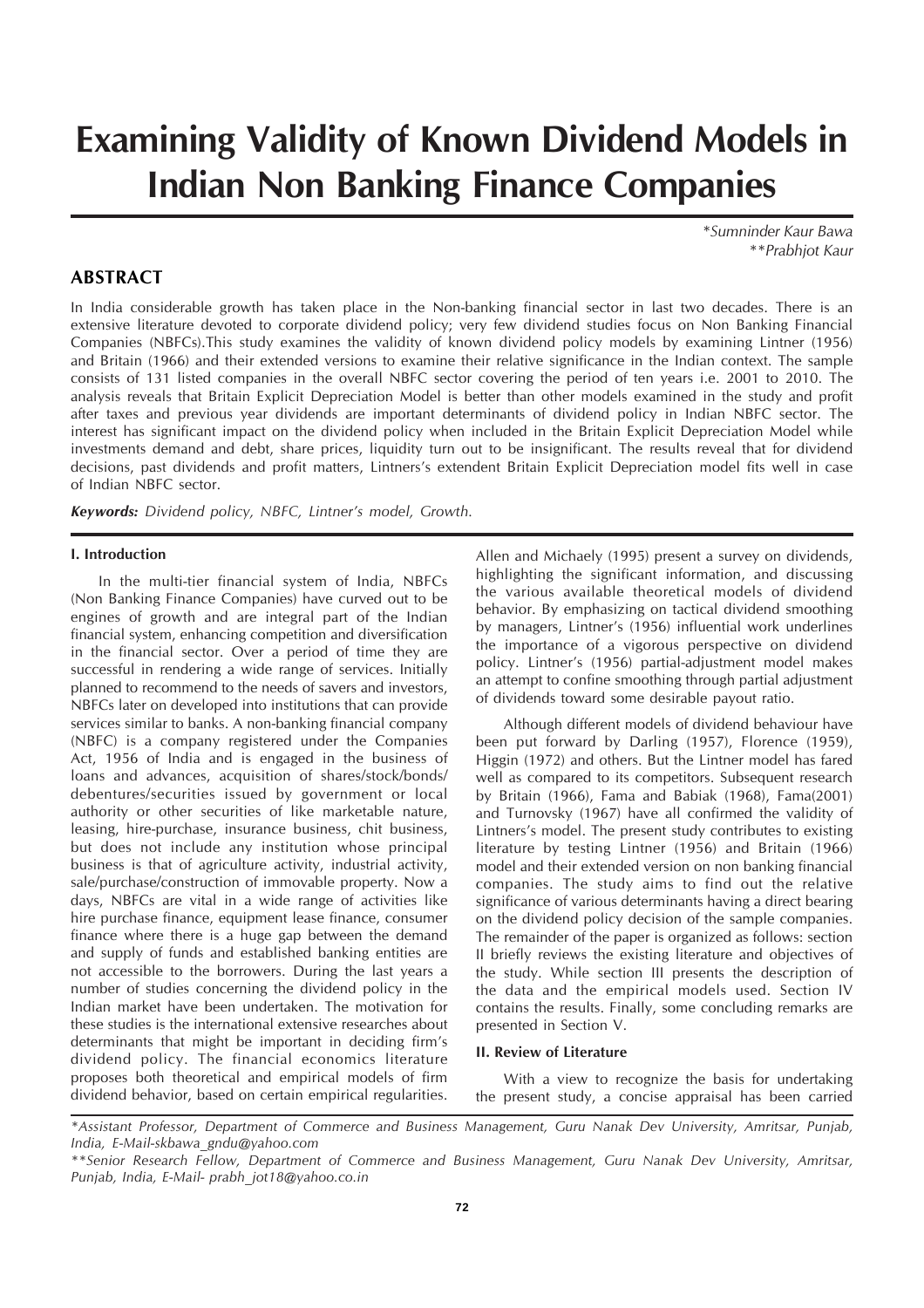# **Examining Validity of Known Dividend Models in Indian Non Banking Finance Companies**

*\*Sumninder Kaur Bawa \*\*Prabhjot Kaur*

# **ABSTRACT**

In India considerable growth has taken place in the Non-banking financial sector in last two decades. There is an extensive literature devoted to corporate dividend policy; very few dividend studies focus on Non Banking Financial Companies (NBFCs).This study examines the validity of known dividend policy models by examining Lintner (1956) and Britain (1966) and their extended versions to examine their relative significance in the Indian context. The sample consists of 131 listed companies in the overall NBFC sector covering the period of ten years i.e. 2001 to 2010. The analysis reveals that Britain Explicit Depreciation Model is better than other models examined in the study and profit after taxes and previous year dividends are important determinants of dividend policy in Indian NBFC sector. The interest has significant impact on the dividend policy when included in the Britain Explicit Depreciation Model while investments demand and debt, share prices, liquidity turn out to be insignificant. The results reveal that for dividend decisions, past dividends and profit matters, Lintners's extendent Britain Explicit Depreciation model fits well in case of Indian NBFC sector.

*Keywords: Dividend policy, NBFC, Lintner's model, Growth.*

#### **I. Introduction**

In the multi-tier financial system of India, NBFCs (Non Banking Finance Companies) have curved out to be engines of growth and are integral part of the Indian financial system, enhancing competition and diversification in the financial sector. Over a period of time they are successful in rendering a wide range of services. Initially planned to recommend to the needs of savers and investors, NBFCs later on developed into institutions that can provide services similar to banks. A non-banking financial company (NBFC) is a company registered under the Companies Act, 1956 of India and is engaged in the business of loans and advances, acquisition of shares/stock/bonds/ debentures/securities issued by government or local authority or other securities of like marketable nature, leasing, hire-purchase, insurance business, chit business, but does not include any institution whose principal business is that of agriculture activity, industrial activity, sale/purchase/construction of immovable property. Now a days, NBFCs are vital in a wide range of activities like hire purchase finance, equipment lease finance, consumer finance where there is a huge gap between the demand and supply of funds and established banking entities are not accessible to the borrowers. During the last years a number of studies concerning the dividend policy in the Indian market have been undertaken. The motivation for these studies is the international extensive researches about determinants that might be important in deciding firm's dividend policy. The financial economics literature proposes both theoretical and empirical models of firm dividend behavior, based on certain empirical regularities.

Allen and Michaely (1995) present a survey on dividends, highlighting the significant information, and discussing the various available theoretical models of dividend behavior. By emphasizing on tactical dividend smoothing by managers, Lintner's (1956) influential work underlines the importance of a vigorous perspective on dividend policy. Lintner's (1956) partial-adjustment model makes an attempt to confine smoothing through partial adjustment of dividends toward some desirable payout ratio.

Although different models of dividend behaviour have been put forward by Darling (1957), Florence (1959), Higgin (1972) and others. But the Lintner model has fared well as compared to its competitors. Subsequent research by Britain (1966), Fama and Babiak (1968), Fama(2001) and Turnovsky (1967) have all confirmed the validity of Lintners's model. The present study contributes to existing literature by testing Lintner (1956) and Britain (1966) model and their extended version on non banking financial companies. The study aims to find out the relative significance of various determinants having a direct bearing on the dividend policy decision of the sample companies. The remainder of the paper is organized as follows: section II briefly reviews the existing literature and objectives of the study. While section III presents the description of the data and the empirical models used. Section IV contains the results. Finally, some concluding remarks are presented in Section V.

#### **II. Review of Literature**

With a view to recognize the basis for undertaking the present study, a concise appraisal has been carried

*<sup>\*</sup>Assistant Professor, Department of Commerce and Business Management, Guru Nanak Dev University, Amritsar, Punjab, India, E-Mail-skbawa\_gndu@yahoo.com*

*<sup>\*\*</sup>Senior Research Fellow, Department of Commerce and Business Management, Guru Nanak Dev University, Amritsar, Punjab, India, E-Mail- prabh\_jot18@yahoo.co.in*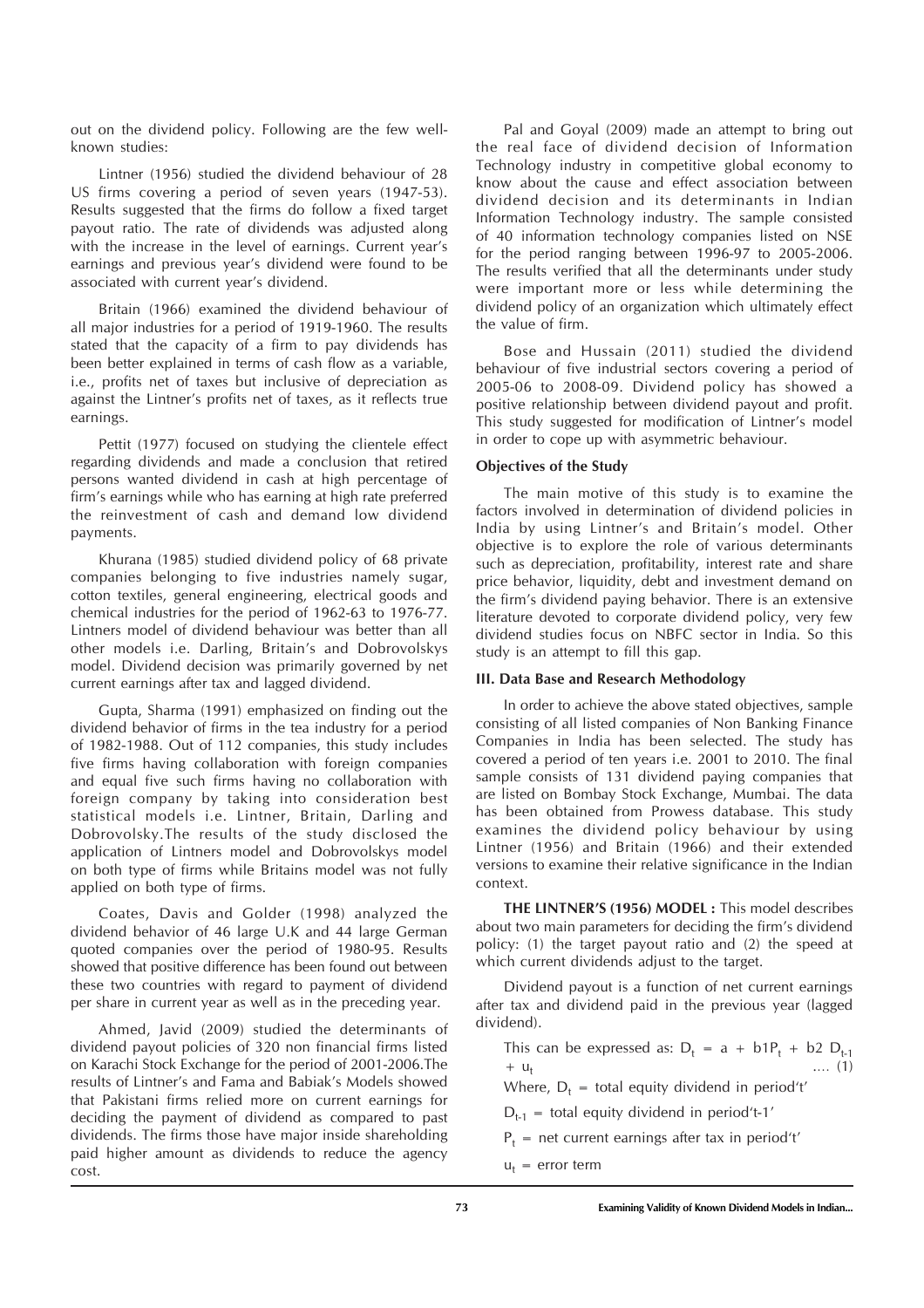out on the dividend policy. Following are the few wellknown studies:

Lintner (1956) studied the dividend behaviour of 28 US firms covering a period of seven years (1947-53). Results suggested that the firms do follow a fixed target payout ratio. The rate of dividends was adjusted along with the increase in the level of earnings. Current year's earnings and previous year's dividend were found to be associated with current year's dividend.

Britain (1966) examined the dividend behaviour of all major industries for a period of 1919-1960. The results stated that the capacity of a firm to pay dividends has been better explained in terms of cash flow as a variable, i.e., profits net of taxes but inclusive of depreciation as against the Lintner's profits net of taxes, as it reflects true earnings.

Pettit (1977) focused on studying the clientele effect regarding dividends and made a conclusion that retired persons wanted dividend in cash at high percentage of firm's earnings while who has earning at high rate preferred the reinvestment of cash and demand low dividend payments.

Khurana (1985) studied dividend policy of 68 private companies belonging to five industries namely sugar, cotton textiles, general engineering, electrical goods and chemical industries for the period of 1962-63 to 1976-77. Lintners model of dividend behaviour was better than all other models i.e. Darling, Britain's and Dobrovolskys model. Dividend decision was primarily governed by net current earnings after tax and lagged dividend.

Gupta, Sharma (1991) emphasized on finding out the dividend behavior of firms in the tea industry for a period of 1982-1988. Out of 112 companies, this study includes five firms having collaboration with foreign companies and equal five such firms having no collaboration with foreign company by taking into consideration best statistical models i.e. Lintner, Britain, Darling and Dobrovolsky.The results of the study disclosed the application of Lintners model and Dobrovolskys model on both type of firms while Britains model was not fully applied on both type of firms.

Coates, Davis and Golder (1998) analyzed the dividend behavior of 46 large U.K and 44 large German quoted companies over the period of 1980-95. Results showed that positive difference has been found out between these two countries with regard to payment of dividend per share in current year as well as in the preceding year.

Ahmed, Javid (2009) studied the determinants of dividend payout policies of 320 non financial firms listed on Karachi Stock Exchange for the period of 2001-2006.The results of Lintner's and Fama and Babiak's Models showed that Pakistani firms relied more on current earnings for deciding the payment of dividend as compared to past dividends. The firms those have major inside shareholding paid higher amount as dividends to reduce the agency cost.

Pal and Goyal (2009) made an attempt to bring out the real face of dividend decision of Information Technology industry in competitive global economy to know about the cause and effect association between dividend decision and its determinants in Indian Information Technology industry. The sample consisted of 40 information technology companies listed on NSE for the period ranging between 1996-97 to 2005-2006. The results verified that all the determinants under study were important more or less while determining the dividend policy of an organization which ultimately effect the value of firm.

Bose and Hussain (2011) studied the dividend behaviour of five industrial sectors covering a period of 2005-06 to 2008-09. Dividend policy has showed a positive relationship between dividend payout and profit. This study suggested for modification of Lintner's model in order to cope up with asymmetric behaviour.

## **Objectives of the Study**

The main motive of this study is to examine the factors involved in determination of dividend policies in India by using Lintner's and Britain's model. Other objective is to explore the role of various determinants such as depreciation, profitability, interest rate and share price behavior, liquidity, debt and investment demand on the firm's dividend paying behavior. There is an extensive literature devoted to corporate dividend policy, very few dividend studies focus on NBFC sector in India. So this study is an attempt to fill this gap.

#### **III. Data Base and Research Methodology**

In order to achieve the above stated objectives, sample consisting of all listed companies of Non Banking Finance Companies in India has been selected. The study has covered a period of ten years i.e. 2001 to 2010. The final sample consists of 131 dividend paying companies that are listed on Bombay Stock Exchange, Mumbai. The data has been obtained from Prowess database. This study examines the dividend policy behaviour by using Lintner (1956) and Britain (1966) and their extended versions to examine their relative significance in the Indian context.

**THE LINTNER'S (1956) MODEL :** This model describes about two main parameters for deciding the firm's dividend policy: (1) the target payout ratio and (2) the speed at which current dividends adjust to the target.

Dividend payout is a function of net current earnings after tax and dividend paid in the previous year (lagged dividend).

This can be expressed as:  $D_t = a + b1P_t + b2 D_{t-1}$  $+ u_t$  .... (1) Where,  $D_t$  = total equity dividend in period't'

 $D_{t-1}$  = total equity dividend in period't-1'

 $P_t$  = net current earnings after tax in period't'

 $u_t$  = error term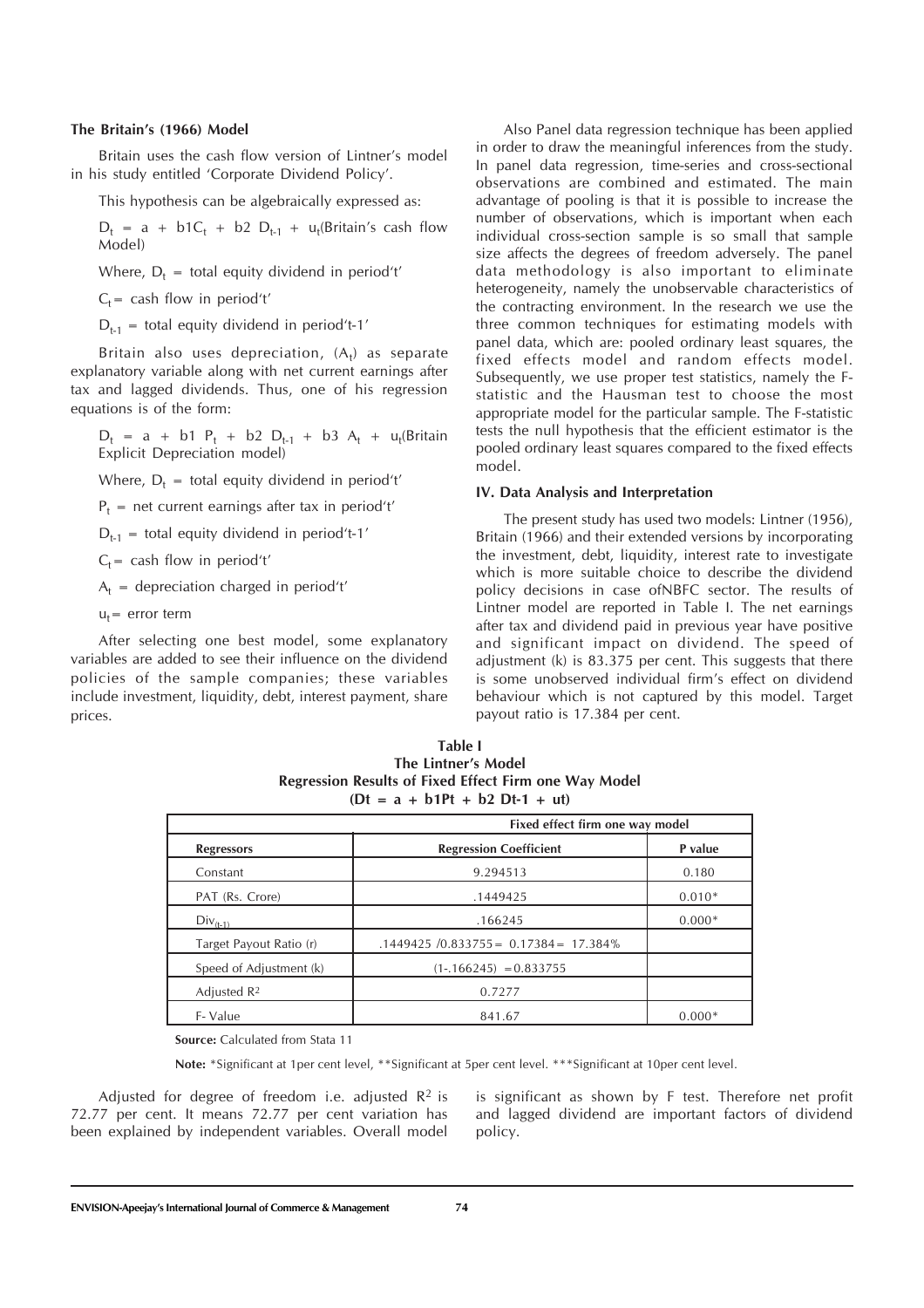#### **The Britain's (1966) Model**

Britain uses the cash flow version of Lintner's model in his study entitled 'Corporate Dividend Policy'.

This hypothesis can be algebraically expressed as:

 $D_t = a + b1C_t + b2 D_{t-1} + u_t$ (Britain's cash flow Model)

Where,  $D_t$  = total equity dividend in period't'

 $C_t$  = cash flow in period't'

 $D_{t-1}$  = total equity dividend in period't-1'

Britain also uses depreciation,  $(A_t)$  as separate explanatory variable along with net current earnings after tax and lagged dividends. Thus, one of his regression equations is of the form:

 $D_t = a + b1 P_t + b2 D_{t-1} + b3 A_t + u_t$ (Britain Explicit Depreciation model)

Where,  $D_t$  = total equity dividend in period't'

 $P_t$  = net current earnings after tax in period't'

 $D_{t-1}$  = total equity dividend in period't-1'

 $C_t$  = cash flow in period't'

 $A_t$  = depreciation charged in period't'

 $u_t$  = error term

After selecting one best model, some explanatory variables are added to see their influence on the dividend policies of the sample companies; these variables include investment, liquidity, debt, interest payment, share prices.

Also Panel data regression technique has been applied in order to draw the meaningful inferences from the study. In panel data regression, time-series and cross-sectional observations are combined and estimated. The main advantage of pooling is that it is possible to increase the number of observations, which is important when each individual cross-section sample is so small that sample size affects the degrees of freedom adversely. The panel data methodology is also important to eliminate heterogeneity, namely the unobservable characteristics of the contracting environment. In the research we use the three common techniques for estimating models with panel data, which are: pooled ordinary least squares, the fixed effects model and random effects model. Subsequently, we use proper test statistics, namely the Fstatistic and the Hausman test to choose the most appropriate model for the particular sample. The F-statistic tests the null hypothesis that the efficient estimator is the pooled ordinary least squares compared to the fixed effects model.

#### **IV. Data Analysis and Interpretation**

The present study has used two models: Lintner (1956), Britain (1966) and their extended versions by incorporating the investment, debt, liquidity, interest rate to investigate which is more suitable choice to describe the dividend policy decisions in case ofNBFC sector. The results of Lintner model are reported in Table I. The net earnings after tax and dividend paid in previous year have positive and significant impact on dividend. The speed of adjustment (k) is 83.375 per cent. This suggests that there is some unobserved individual firm's effect on dividend behaviour which is not captured by this model. Target payout ratio is 17.384 per cent.

| Table I                                                      |
|--------------------------------------------------------------|
| The Lintner's Model                                          |
| <b>Regression Results of Fixed Effect Firm one Way Model</b> |
| $(Dt = a + b1Pt + b2Dt-1 + ut)$                              |

|                         | Fixed effect firm one way model            |          |
|-------------------------|--------------------------------------------|----------|
| <b>Regressors</b>       | <b>Regression Coefficient</b>              | P value  |
| Constant                | 9.294513                                   | 0.180    |
| PAT (Rs. Crore)         | .1449425                                   | $0.010*$ |
| $Div_{(t-1)}$           | .166245                                    | $0.000*$ |
| Target Payout Ratio (r) | $.1449425 / 0.833755 = 0.17384 = 17.384\%$ |          |
| Speed of Adjustment (k) | $(1-.166245) = 0.833755$                   |          |
| Adjusted $R^2$          | 0.7277                                     |          |
| F-Value                 | 841.67                                     | $0.000*$ |

 **Source:** Calculated from Stata 11

 **Note:** \*Significant at 1per cent level, \*\*Significant at 5per cent level. \*\*\*Significant at 10per cent level.

Adjusted for degree of freedom i.e. adjusted  $R^2$  is 72.77 per cent. It means 72.77 per cent variation has been explained by independent variables. Overall model

is significant as shown by F test. Therefore net profit and lagged dividend are important factors of dividend policy.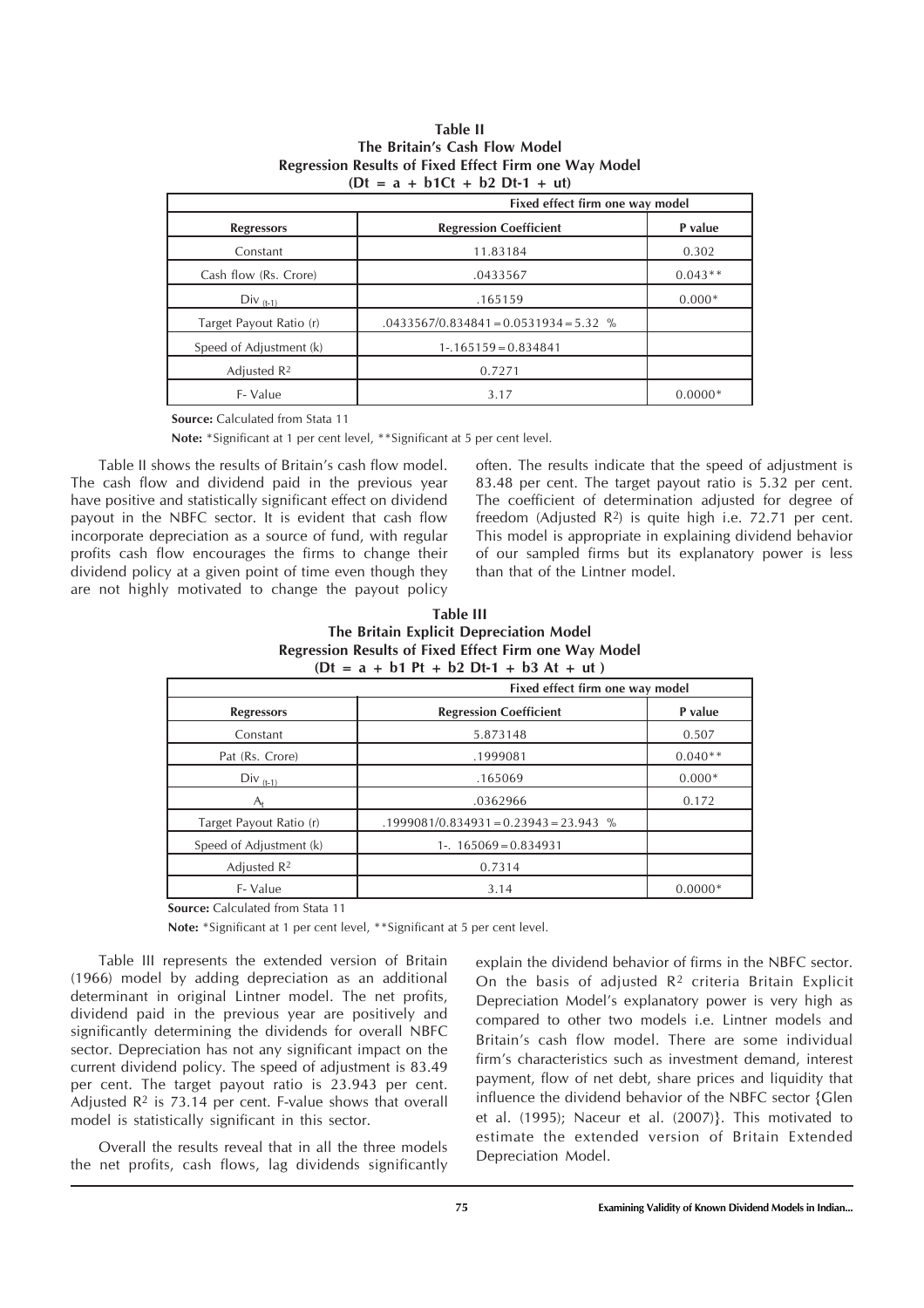|                         |                                          | Fixed effect firm one way model |  |
|-------------------------|------------------------------------------|---------------------------------|--|
| <b>Regressors</b>       | <b>Regression Coefficient</b>            | P value                         |  |
| Constant                | 11.83184                                 | 0.302                           |  |
| Cash flow (Rs. Crore)   | .0433567                                 | $0.043**$                       |  |
| $Div_{(t-1)}$           | .165159                                  | $0.000*$                        |  |
| Target Payout Ratio (r) | $.0433567/0.834841 = 0.0531934 = 5.32$ % |                                 |  |
| Speed of Adjustment (k) | $1 - 165159 = 0.834841$                  |                                 |  |
| Adjusted $R^2$          | 0.7271                                   |                                 |  |
| F-Value                 | 3.17                                     | $0.0000*$                       |  |

### **Table II The Britain's Cash Flow Model Regression Results of Fixed Effect Firm one Way Model (Dt = a + b1Ct + b2 Dt-1 + ut)**

 **Source:** Calculated from Stata 11

 **Note:** \*Significant at 1 per cent level, \*\*Significant at 5 per cent level.

Table II shows the results of Britain's cash flow model. The cash flow and dividend paid in the previous year have positive and statistically significant effect on dividend payout in the NBFC sector. It is evident that cash flow incorporate depreciation as a source of fund, with regular profits cash flow encourages the firms to change their dividend policy at a given point of time even though they are not highly motivated to change the payout policy often. The results indicate that the speed of adjustment is 83.48 per cent. The target payout ratio is 5.32 per cent. The coefficient of determination adjusted for degree of freedom (Adjusted  $R^2$ ) is quite high i.e. 72.71 per cent. This model is appropriate in explaining dividend behavior of our sampled firms but its explanatory power is less than that of the Lintner model.

| Table III                                                    |
|--------------------------------------------------------------|
| The Britain Explicit Depreciation Model                      |
| <b>Regression Results of Fixed Effect Firm one Way Model</b> |
| $(Dt = a + b1$ Pt + b2 Dt-1 + b3 At + ut)                    |

|                         | Fixed effect firm one way model          |           |
|-------------------------|------------------------------------------|-----------|
| <b>Regressors</b>       | <b>Regression Coefficient</b>            | P value   |
| Constant                | 5.873148                                 | 0.507     |
| Pat (Rs. Crore)         | .1999081                                 | $0.040**$ |
| $Div_{(t-1)}$           | .165069                                  | $0.000*$  |
| A.                      | .0362966                                 | 0.172     |
| Target Payout Ratio (r) | $.1999081/0.834931 = 0.23943 = 23.943$ % |           |
| Speed of Adjustment (k) | $1 - 165069 = 0.834931$                  |           |
| Adjusted $R^2$          | 0.7314                                   |           |
| F-Value                 | 3.14                                     | $0.0000*$ |

**Source:** Calculated from Stata 11

**Note:** \*Significant at 1 per cent level, \*\*Significant at 5 per cent level.

Table III represents the extended version of Britain (1966) model by adding depreciation as an additional determinant in original Lintner model. The net profits, dividend paid in the previous year are positively and significantly determining the dividends for overall NBFC sector. Depreciation has not any significant impact on the current dividend policy. The speed of adjustment is 83.49 per cent. The target payout ratio is 23.943 per cent. Adjusted  $\mathbb{R}^2$  is 73.14 per cent. F-value shows that overall model is statistically significant in this sector.

Overall the results reveal that in all the three models the net profits, cash flows, lag dividends significantly

explain the dividend behavior of firms in the NBFC sector. On the basis of adjusted R2 criteria Britain Explicit Depreciation Model's explanatory power is very high as compared to other two models i.e. Lintner models and Britain's cash flow model. There are some individual firm's characteristics such as investment demand, interest payment, flow of net debt, share prices and liquidity that influence the dividend behavior of the NBFC sector {Glen et al. (1995); Naceur et al. (2007)}. This motivated to estimate the extended version of Britain Extended Depreciation Model.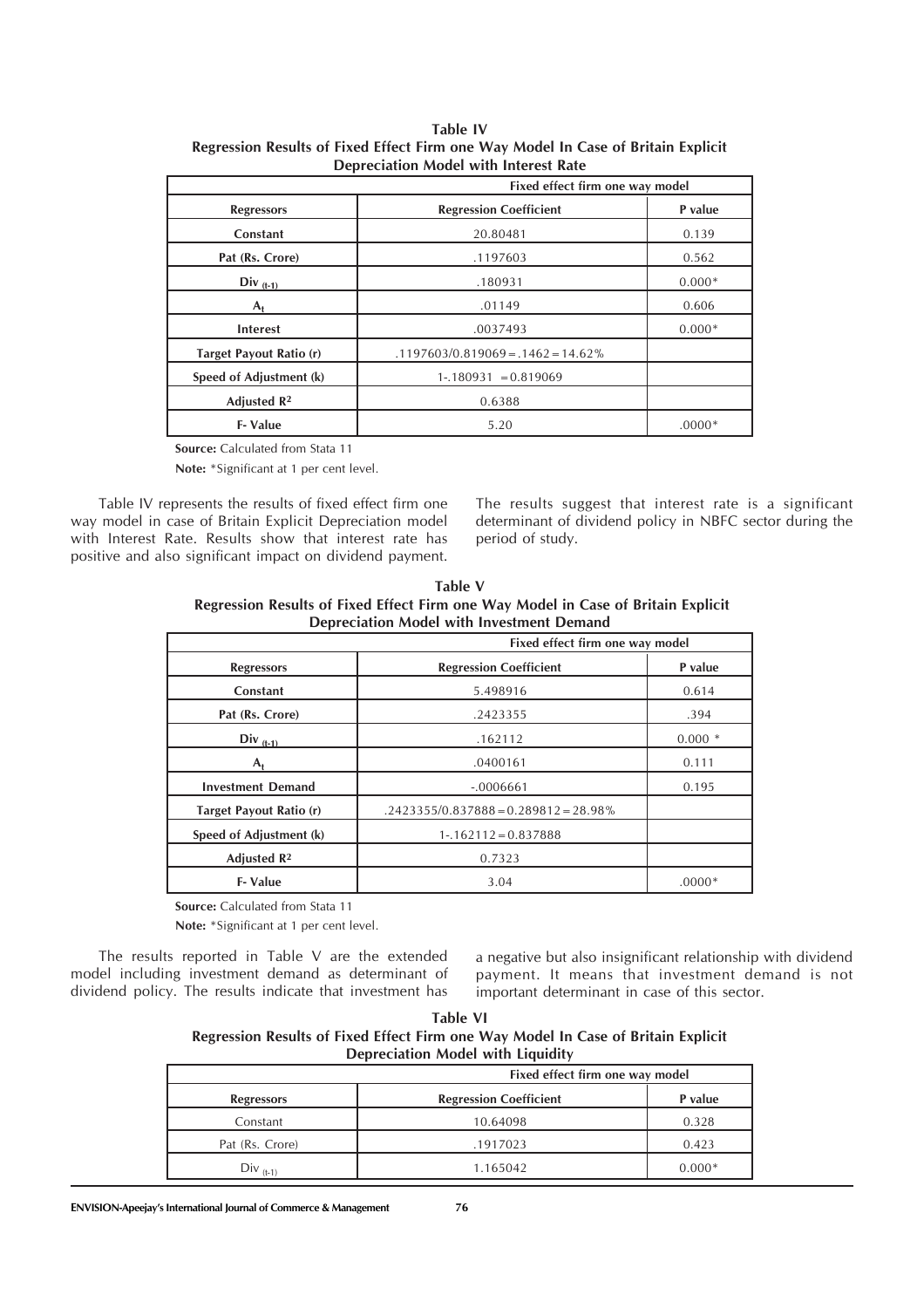|                           | Fixed effect firm one way model       |          |
|---------------------------|---------------------------------------|----------|
| <b>Regressors</b>         | <b>Regression Coefficient</b>         | P value  |
| Constant                  | 20.80481                              | 0.139    |
| Pat (Rs. Crore)           | .1197603                              | 0.562    |
| Div $\frac{(t-1)}{(t-1)}$ | .180931                               | $0.000*$ |
| $A_{t}$                   | .01149                                | 0.606    |
| Interest                  | .0037493                              | $0.000*$ |
| Target Payout Ratio (r)   | $.1197603/0.819069 = .1462 = 14.62\%$ |          |
| Speed of Adjustment (k)   | $1-.180931 = 0.819069$                |          |
| Adjusted $\mathbb{R}^2$   | 0.6388                                |          |
| <b>F-Value</b>            | 5.20                                  | $.0000*$ |

**Table IV Regression Results of Fixed Effect Firm one Way Model In Case of Britain Explicit Depreciation Model with Interest Rate**

 **Source:** Calculated from Stata 11

 **Note:** \*Significant at 1 per cent level.

Table IV represents the results of fixed effect firm one way model in case of Britain Explicit Depreciation model with Interest Rate. Results show that interest rate has positive and also significant impact on dividend payment.

The results suggest that interest rate is a significant determinant of dividend policy in NBFC sector during the period of study.

| Table V                                                                           |  |  |
|-----------------------------------------------------------------------------------|--|--|
| Regression Results of Fixed Effect Firm one Way Model in Case of Britain Explicit |  |  |
| Depreciation Model with Investment Demand                                         |  |  |

|                          | Fixed effect firm one way model          |          |
|--------------------------|------------------------------------------|----------|
| <b>Regressors</b>        | <b>Regression Coefficient</b>            | P value  |
| Constant                 | 5.498916                                 | 0.614    |
| Pat (Rs. Crore)          | .2423355                                 | .394     |
| $Div_{(t-1)}$            | .162112                                  | $0.000*$ |
| $A_{\rm t}$              | .0400161                                 | 0.111    |
| <b>Investment Demand</b> | $-.0006661$                              | 0.195    |
| Target Payout Ratio (r)  | $.2423355/0.837888 = 0.289812 = 28.98\%$ |          |
| Speed of Adjustment (k)  | $1 - 162112 = 0.837888$                  |          |
| Adjusted $\mathbb{R}^2$  | 0.7323                                   |          |
| F- Value                 | 3.04                                     | $.0000*$ |

 **Source:** Calculated from Stata 11

**Note:** \*Significant at 1 per cent level.

The results reported in Table V are the extended model including investment demand as determinant of dividend policy. The results indicate that investment has a negative but also insignificant relationship with dividend payment. It means that investment demand is not important determinant in case of this sector.

| Table VI                                                                          |
|-----------------------------------------------------------------------------------|
| Regression Results of Fixed Effect Firm one Way Model In Case of Britain Explicit |
| Depreciation Model with Liquidity                                                 |

|                   | Fixed effect firm one way model |          |
|-------------------|---------------------------------|----------|
| <b>Regressors</b> | <b>Regression Coefficient</b>   | P value  |
| Constant          | 10.64098                        | 0.328    |
| Pat (Rs. Crore)   | .1917023                        | 0.423    |
| $Div_{(t-1)}$     | 1.165042                        | $0.000*$ |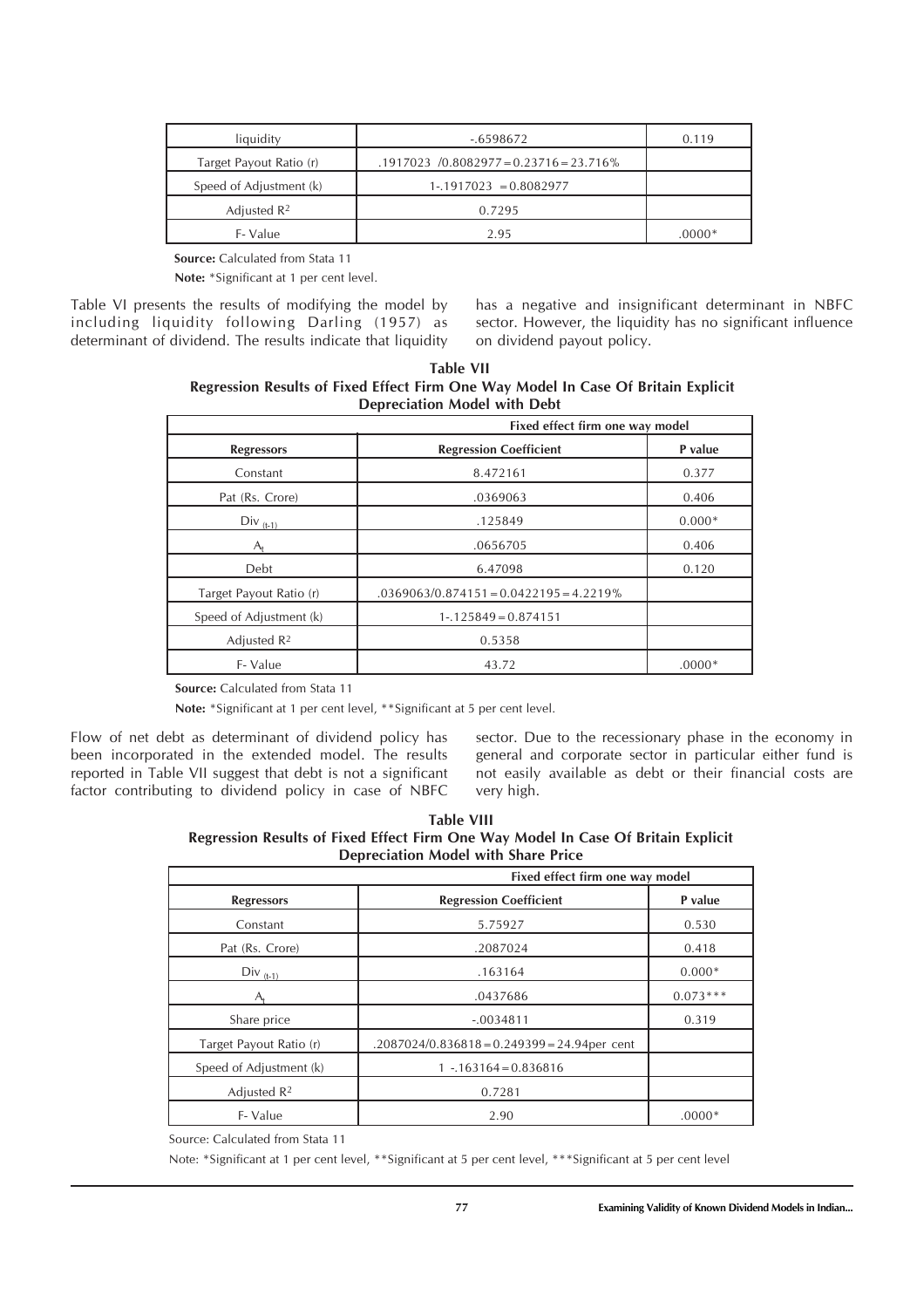| liquidity               | $-.6598672$                               | 0.119    |
|-------------------------|-------------------------------------------|----------|
| Target Payout Ratio (r) | $.1917023$ /0.8082977 = 0.23716 = 23.716% |          |
| Speed of Adjustment (k) | $1-.1917023 = 0.8082977$                  |          |
| Adjusted $\mathbb{R}^2$ | 0.7295                                    |          |
| F-Value                 | 2.95                                      | $.0000*$ |

**Source:** Calculated from Stata 11

**Note:** \*Significant at 1 per cent level.

Table VI presents the results of modifying the model by including liquidity following Darling (1957) as determinant of dividend. The results indicate that liquidity has a negative and insignificant determinant in NBFC sector. However, the liquidity has no significant influence on dividend payout policy.

**Table VII Regression Results of Fixed Effect Firm One Way Model In Case Of Britain Explicit Depreciation Model with Debt**

| Fixed effect firm one way model |                                            |          |
|---------------------------------|--------------------------------------------|----------|
| <b>Regressors</b>               | <b>Regression Coefficient</b>              | P value  |
| Constant                        | 8.472161                                   | 0.377    |
| Pat (Rs. Crore)                 | .0369063                                   | 0.406    |
| $Div_{(t-1)}$                   | .125849                                    | $0.000*$ |
| A.                              | .0656705                                   | 0.406    |
| Debt                            | 6.47098                                    | 0.120    |
| Target Payout Ratio (r)         | $.0369063/0.874151 = 0.0422195 = 4.2219\%$ |          |
| Speed of Adjustment (k)         | $1 - 125849 = 0.874151$                    |          |
| Adjusted $R2$                   | 0.5358                                     |          |
| F-Value                         | 43.72                                      | $.0000*$ |

 **Source:** Calculated from Stata 11

**Note:** \*Significant at 1 per cent level, \*\*Significant at 5 per cent level.

Flow of net debt as determinant of dividend policy has been incorporated in the extended model. The results reported in Table VII suggest that debt is not a significant factor contributing to dividend policy in case of NBFC sector. Due to the recessionary phase in the economy in general and corporate sector in particular either fund is not easily available as debt or their financial costs are very high.

| Table VIII                                                                        |
|-----------------------------------------------------------------------------------|
| Regression Results of Fixed Effect Firm One Way Model In Case Of Britain Explicit |
| Depreciation Model with Share Price                                               |

|                         | Fixed effect firm one way model                 |            |
|-------------------------|-------------------------------------------------|------------|
| <b>Regressors</b>       | <b>Regression Coefficient</b>                   | P value    |
| Constant                | 5.75927                                         | 0.530      |
| Pat (Rs. Crore)         | .2087024                                        | 0.418      |
| $Div_{(t-1)}$           | .163164                                         | $0.000*$   |
| $A_{t}$                 | .0437686                                        | $0.073***$ |
| Share price             | $-.0034811$                                     | 0.319      |
| Target Payout Ratio (r) | $.2087024/0.836818 = 0.249399 = 24.94$ per cent |            |
| Speed of Adjustment (k) | $1 - 163164 = 0.836816$                         |            |
| Adjusted $R^2$          | 0.7281                                          |            |
| F-Value                 | 2.90                                            | $.0000*$   |

Source: Calculated from Stata 11

Note: \*Significant at 1 per cent level, \*\*Significant at 5 per cent level, \*\*\*Significant at 5 per cent level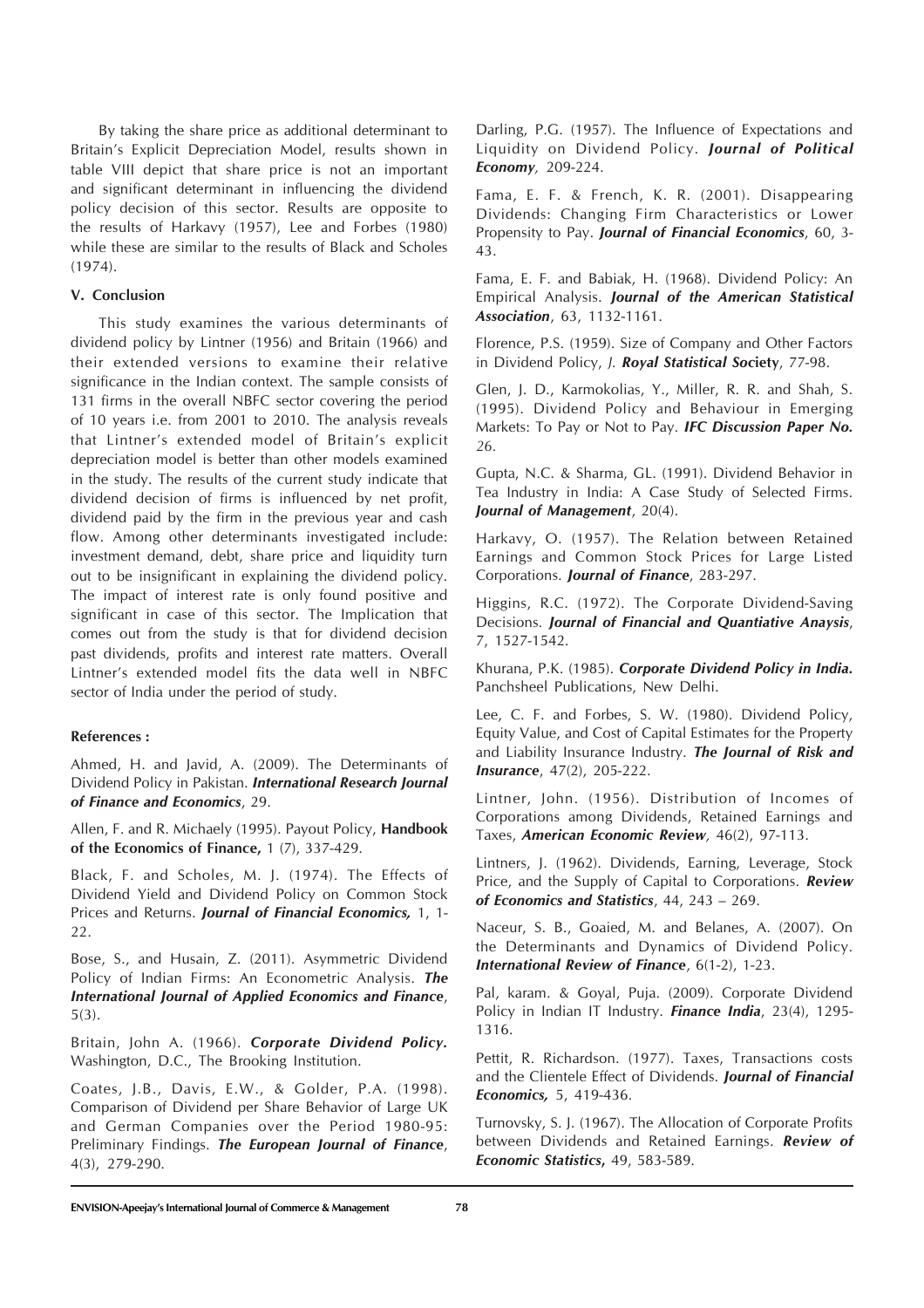By taking the share price as additional determinant to Britain's Explicit Depreciation Model, results shown in table VIII depict that share price is not an important and significant determinant in influencing the dividend policy decision of this sector. Results are opposite to the results of Harkavy (1957), Lee and Forbes (1980) while these are similar to the results of Black and Scholes (1974).

## **V. Conclusion**

This study examines the various determinants of dividend policy by Lintner (1956) and Britain (1966) and their extended versions to examine their relative significance in the Indian context. The sample consists of 131 firms in the overall NBFC sector covering the period of 10 years i.e. from 2001 to 2010. The analysis reveals that Lintner's extended model of Britain's explicit depreciation model is better than other models examined in the study. The results of the current study indicate that dividend decision of firms is influenced by net profit, dividend paid by the firm in the previous year and cash flow. Among other determinants investigated include: investment demand, debt, share price and liquidity turn out to be insignificant in explaining the dividend policy. The impact of interest rate is only found positive and significant in case of this sector. The Implication that comes out from the study is that for dividend decision past dividends, profits and interest rate matters. Overall Lintner's extended model fits the data well in NBFC sector of India under the period of study.

## **References :**

Ahmed, H. and Javid, A. (2009). The Determinants of Dividend Policy in Pakistan. *International Research Journal of Finance and Economics*, 29.

Allen, F. and R. Michaely (1995). Payout Policy, **Handbook of the Economics of Finance,** 1 (7), 337-429.

Black, F. and Scholes, M. J. (1974). The Effects of Dividend Yield and Dividend Policy on Common Stock Prices and Returns. *Journal of Financial Economics,* 1, 1- 22.

Bose, S., and Husain, Z. (2011). Asymmetric Dividend Policy of Indian Firms: An Econometric Analysis. *The International Journal of Applied Economics and Finance*, 5(3).

Britain, John A. (1966). *Corporate Dividend Policy.* Washington, D.C., The Brooking Institution.

Coates, J.B., Davis, E.W., & Golder, P.A. (1998). Comparison of Dividend per Share Behavior of Large UK and German Companies over the Period 1980-95: Preliminary Findings. *The European Journal of Finance*, 4(3), 279-290.

Darling, P.G. (1957). The Influence of Expectations and Liquidity on Dividend Policy. *Journal of Political Economy,* 209-224.

Fama, E. F. & French, K. R. (2001). Disappearing Dividends: Changing Firm Characteristics or Lower Propensity to Pay. *Journal of Financial Economics*, 60, 3- 43.

Fama, E. F. and Babiak, H. (1968). Dividend Policy: An Empirical Analysis. *Journal of the American Statistical Association*, 63, 1132-1161.

Florence, P.S. (1959). Size of Company and Other Factors in Dividend Policy, *J. Royal Statistical Soc***iety**, 77-98.

Glen, J. D., Karmokolias, Y., Miller, R. R. and Shah, S. (1995). Dividend Policy and Behaviour in Emerging Markets: To Pay or Not to Pay*. IFC Discussion Paper No. 26.*

Gupta, N.C. & Sharma, GL. (1991). Dividend Behavior in Tea Industry in India: A Case Study of Selected Firms. *Journal of Management*, 20(4).

Harkavy, O. (1957). The Relation between Retained Earnings and Common Stock Prices for Large Listed Corporations. *Journal of Finance*, 283-297.

Higgins, R.C. (1972). The Corporate Dividend-Saving Decisions*. Journal of Financial and Quantiative Anaysis*, 7, 1527-1542.

Khurana, P.K. (1985). *Corporate Dividend Policy in India.* Panchsheel Publications, New Delhi.

Lee, C. F. and Forbes, S. W. (1980). Dividend Policy, Equity Value, and Cost of Capital Estimates for the Property and Liability Insurance Industry. *The Journal of Risk and Insurance*, 47(2), 205-222.

Lintner, John. (1956). Distribution of Incomes of Corporations among Dividends, Retained Earnings and Taxes, *American Economic Review,* 46(2), 97-113.

Lintners, J. (1962). Dividends, Earning, Leverage, Stock Price, and the Supply of Capital to Corporations. *Review of Economics and Statistics*, 44, 243 – 269.

Naceur, S. B., Goaied, M. and Belanes, A. (2007). On the Determinants and Dynamics of Dividend Policy. *International Review of Finance*, 6(1-2), 1-23.

Pal, karam. & Goyal, Puja. (2009). Corporate Dividend Policy in Indian IT Industry. *Finance India*, 23(4), 1295- 1316.

Pettit, R. Richardson. (1977). Taxes, Transactions costs and the Clientele Effect of Dividends. *Journal of Financial Economics,* 5, 419-436.

Turnovsky, S. J. (1967). The Allocation of Corporate Profits between Dividends and Retained Earnings. *Review of Economic Statistics***,** 49, 583-589.